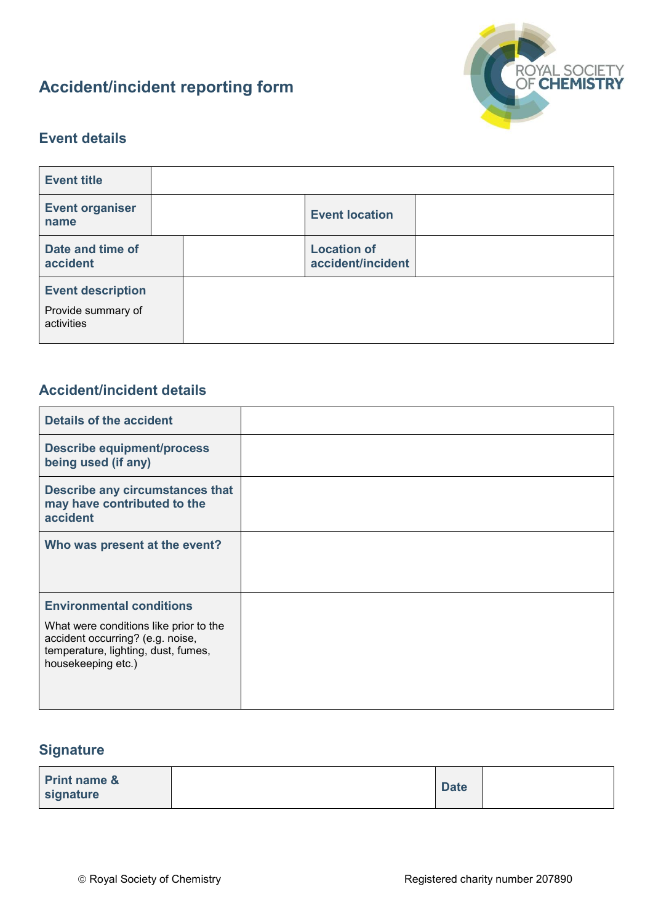# **Accident/incident reporting form**



### **Event details**

| <b>Event title</b>                                           |                                         |  |
|--------------------------------------------------------------|-----------------------------------------|--|
| <b>Event organiser</b><br>name                               | <b>Event location</b>                   |  |
| Date and time of<br>accident                                 | <b>Location of</b><br>accident/incident |  |
| <b>Event description</b><br>Provide summary of<br>activities |                                         |  |

#### **Accident/incident details**

| <b>Details of the accident</b>                                                                                                          |  |
|-----------------------------------------------------------------------------------------------------------------------------------------|--|
| <b>Describe equipment/process</b><br>being used (if any)                                                                                |  |
| Describe any circumstances that<br>may have contributed to the<br>accident                                                              |  |
| Who was present at the event?                                                                                                           |  |
| <b>Environmental conditions</b>                                                                                                         |  |
| What were conditions like prior to the<br>accident occurring? (e.g. noise,<br>temperature, lighting, dust, fumes,<br>housekeeping etc.) |  |

### **Signature**

| signature | <b>Print name &amp;</b> |  | <b>Date</b> |  |
|-----------|-------------------------|--|-------------|--|
|-----------|-------------------------|--|-------------|--|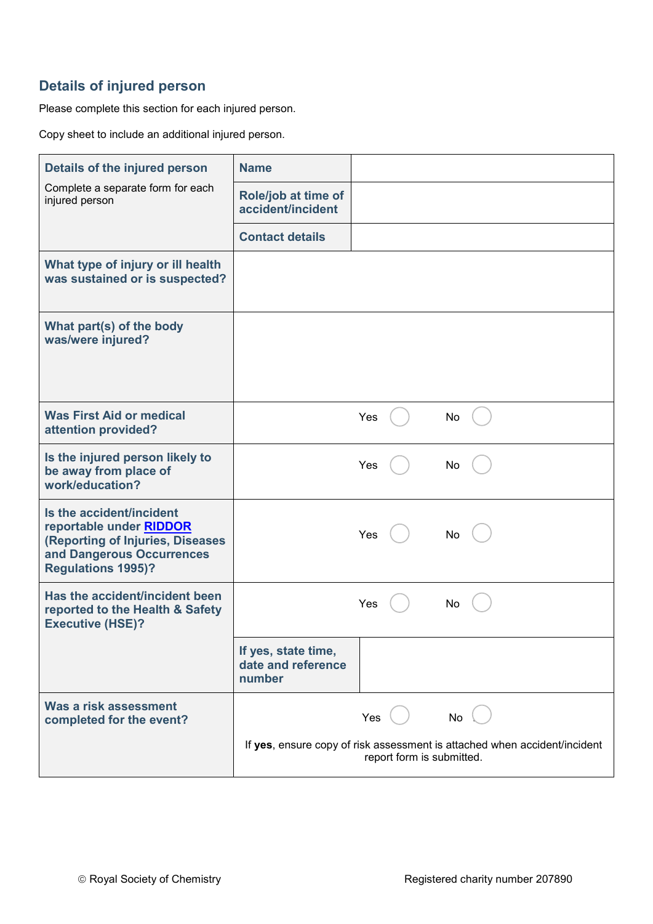## **Details of injured person**

Please complete this section for each injured person.

Copy sheet to include an additional injured person.

| Details of the injured person                                                                                                                            | <b>Name</b>                                                                                            |
|----------------------------------------------------------------------------------------------------------------------------------------------------------|--------------------------------------------------------------------------------------------------------|
| Complete a separate form for each<br>injured person                                                                                                      | Role/job at time of<br>accident/incident                                                               |
|                                                                                                                                                          | <b>Contact details</b>                                                                                 |
| What type of injury or ill health<br>was sustained or is suspected?                                                                                      |                                                                                                        |
| What part(s) of the body<br>was/were injured?                                                                                                            |                                                                                                        |
| <b>Was First Aid or medical</b><br>attention provided?                                                                                                   | Yes<br>No                                                                                              |
| Is the injured person likely to<br>be away from place of<br>work/education?                                                                              | Yes<br>No                                                                                              |
| Is the accident/incident<br>reportable under <b>RIDDOR</b><br>(Reporting of Injuries, Diseases<br>and Dangerous Occurrences<br><b>Regulations 1995)?</b> | Yes<br>No                                                                                              |
| Has the accident/incident been<br>reported to the Health & Safety<br><b>Executive (HSE)?</b>                                                             | Yes<br>No                                                                                              |
|                                                                                                                                                          | If yes, state time,<br>date and reference<br>number                                                    |
| Was a risk assessment<br>completed for the event?                                                                                                        | Yes<br>No                                                                                              |
|                                                                                                                                                          | If yes, ensure copy of risk assessment is attached when accident/incident<br>report form is submitted. |